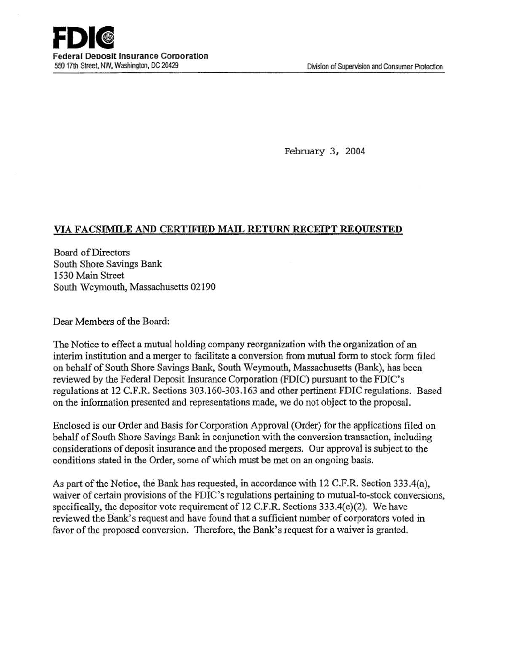February 3, 2004

# VIA FACSIMILE AND CERTIFIED MAIL RETURN RECEIPT REQUESTED

Board of Directors South Shore Savings Bank 1530 Main Street South Weymouth, Massachusetts 02190

Dear Members of the Board:

The Notice to effect a mutual holding company reorganization with the organization of an interim institution and a merger to facilitate a conversion from mutual form to stock form filed on behalf of South Shore Savings Bank, South Weymouth, Massachusetts (Bank), has been reviewed by the Federal Deposit Insurance Corporation (FDIC) pursuant to the FDIC's regulations at 12 C.F.R. Sections 303.160-303.163 and other pertinent FDIC regulations. Based on the information presented and representations made, we do not object to the proposal.

Enclosed is our Order and Basis for Corporation Approval (Order) for the applications filed on behalf of South Shore Savings Bank in conjunction with the conversion transaction, including considerations of deposit insurance and the proposed mergers. Our approval is subject to the conditions stated in the Order, some of which must be met on an ongoing basis.

As part of the Notice, the Bank has requested, in accordance with  $12$  C.F.R. Section 333.4(a), waiver of certain provisions of the FDIC's regulations pertaining to mutual-to-stock conversions, specifically, the depositor vote requirement of 12 C.F.R. Sections  $333.4(c)(2)$ . We have reviewed the Bank's request and have found that a sufficient number of corporators voted in favor of the proposed conversion. Therefore, the Bank's request for a waiver is granted.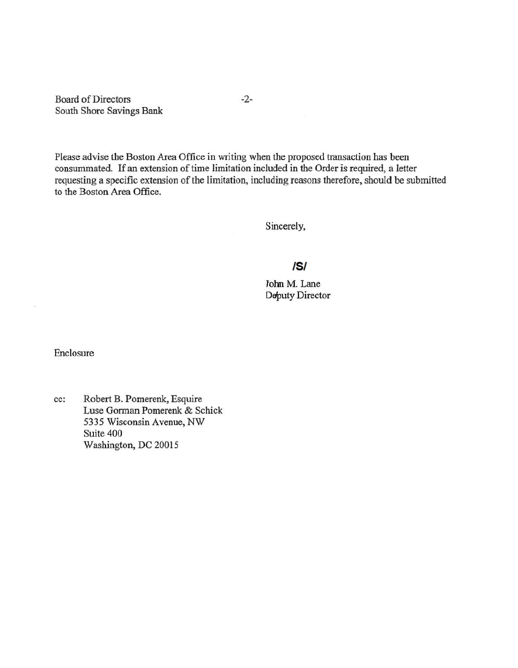Board of Directors -2-South Shore Savings Bank

Please advise the Boston Area Office in writing when the proposed transaction has been consummated. If an extension of time limitation included in the Order is required, a letter requesting a specific extension of the limitation, including reasons therefore, should be submitted to the Boston Area Office.

Sincerely,

# IS/

JolmM. Lane Deputy Director

Enclosure

cc: Robert B. Pomerenk, Esquire Luse Gorman Pomerenk & Schick 5335 Wisconsin Avenue, NW Suite 400 Washington, DC 20015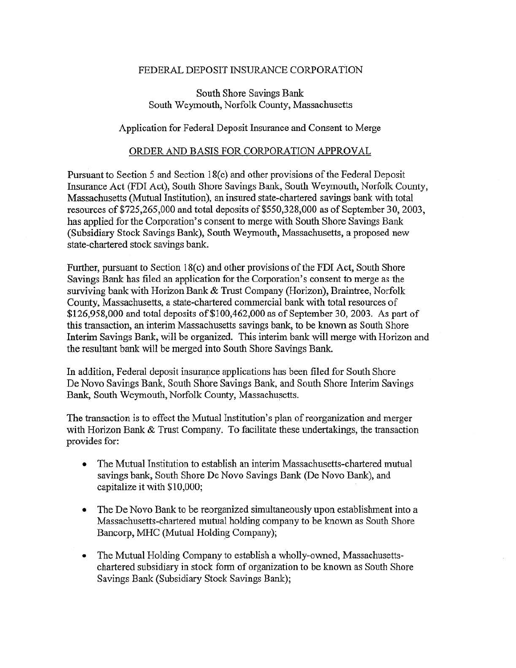## FEDERAL DEPOSIT INSURANCE CORPORATION

## South Shore Savings Bank South Weymouth, Norfolk County, Massachusetts

## Application for Federal Deposit Insurance and Consent to Merge

#### ORDER AND BASIS FOR CORPORATION APPROVAL

Pursuant to Section 5 and Section 18(c) and other provisions of the Federal Deposit Insurance Act (FDI Act), South Shore Savings Bank, South Weymouth, Norfolk County, Massachusetts (Mutual Institution), an insured state-chartered savings bank with total resources of  $$725,265,000$  and total deposits of  $$550,328,000$  as of September 30, 2003, has applied for the Corporation's consent to merge with South Shore Savings Bank (Subsidiary Stock Savings Bank), South Weymouth, Massachusetts, a proposed new state-chartered stock savings bank.

Further, pursuant to Section 18(c) and other provisions of the FDI Act, South Shore Savings Bank has filed an application for the Corporation's consent to merge as the surviving bank with Horizon Bank & Trust Company (Horizon), Braintree, Norfolk County, Massachusetts, a state-chartered commercial bank with total resources of \$126,958,000 and total deposits of\$100,462,000 as of September 30, 2003. As part of this transaction, an interim Massachusetts savings bank, to be known as South Shore Interim Savings Bank, will be organized. This interim bank will merge with Horizon and the resultant bank will be merged into South Shore Savings Bank.

In addition, Federal deposit insurance applications has been filed for South Shore De Novo Savings Bank, South Shore Savings Bank, and South Shore Interim Savings Bank, South Weymouth, Norfolk County, Massachusetts.

The transaction is to effect the Mutual Institution's plan of reorganization and merger with Horizon Bank & Trust Company. To facilitate these undertakings, the transaction provides for:

- The Mutual Institution to establish an interim Massachusetts-chartered mutual savings bank, South Shore De Novo Savings Bank (De Novo Bank), and capitalize it with \$10,000;
- The De Novo Bank to be reorganized simultaneously upon establishment into a Massachusetts-chartered mutual holding company to be known as South Shore Bancorp, MHC (Mutual Holding Company);
- The Mutual Holding Company to establish a wholly-owned, Massachusettschartered subsidiary in stock form of organization to be known as South Shore Savings Bank (Subsidiary Stock Savings Bank);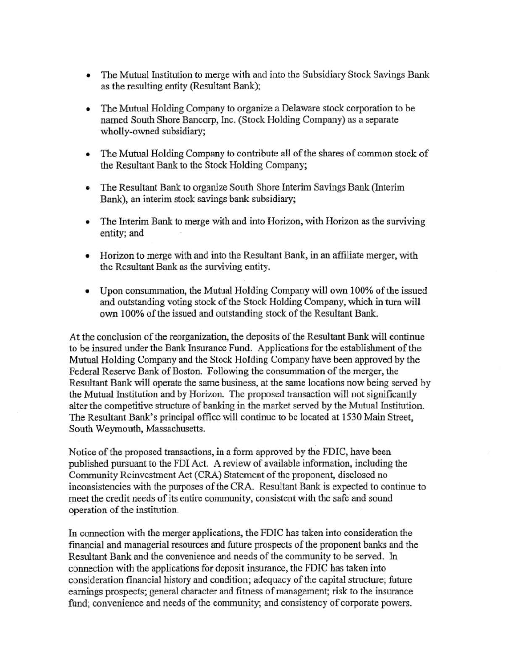- The Mutual Institution to merge with and into the Subsidiary Stock Savings Bank as the resulting entity (Resultant Bank);
- The Mutual Holding Company to organize a Delaware stock corporation to be named South Shore Bancorp, Inc. (Stock Holding Company) as a separate wholly-owned subsidiary;
- The Mutual Holding Company to contribute all of the shares of common stock of the Resultant Bank to the Stock Holding Company;
- The Resultant Bank to organize South Shore Interim Savings Bank (Interim Bank), an interim stock savings bank subsidiary;
- The Interim Bank to merge with and into Horizon, with Horizon as the surviving entity; and
- Horizon to merge with and into the Resultant Bank, in an affiliate merger, with the Resultant Bank as the surviving entity.
- Upon consummation, the Mutual Holding Company will own 100% of the issued and outstanding voting stock of the Stock Holding Company, which in tum will own 100% of the issued and outstanding stock of the Resultant Bank.

At the conclusion of the reorganization, the deposits of the Resultant Bank will continue to be insured under the Bank Insurance Fund. Applications for the establishment of the Mutual Holding Company and the Stock Holding Company have been approved by the Federal Reserve Bank of Boston. Following the consummation of the merger, the Resultant Bank will operate the same business, at the same locations now being served by the Mutual Institution and by Horizon. The proposed transaction will not significantly alter the competitive structure of banking in the market served by the Mutual Institution. The Resultant Bank's principal office will continue to be located at 1530 Main Street, South Weymouth, Massachusetts.

Notice of the proposed transactions, in a form approved by the FDIC, have been published pursuant to the Fbi Act. A review of available information, including the Community Reinvestment Act (CRA) Statement of the proponent, disclosed no inconsistencies with the purposes of the CRA. Resultant Bank is expected to continue to meet the credit needs of its entire community, consistent with the safe and sound operation of the institution.

In connection with the merger applications, the FDIC has taken into consideration the financial and managerial resources and future prospects of the proponent banks and the Resultant Bank and the convenience and needs of the community to be served. In connection with the applications for deposit insurance, the FDIC has taken into consideration financial history and condition; adequacy of the capital structure; future earnings prospects; general character and fitness of management; risk to the insurance fund; convenience and needs of the community; and consistency of corporate powers.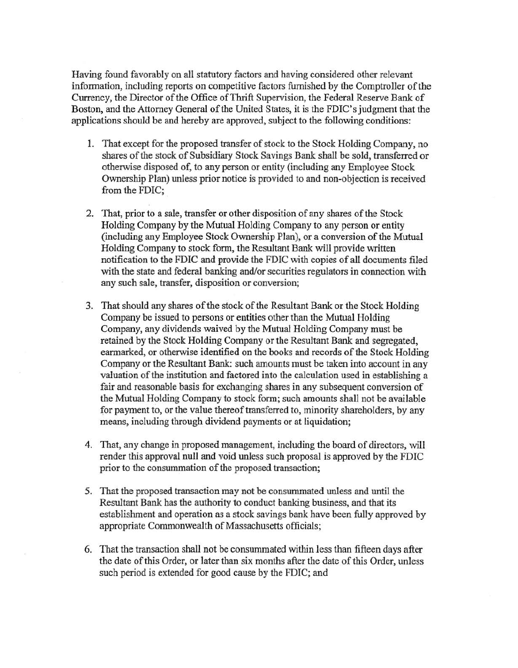Having found favorably on all statutory factors and having considered other relevant information, including reports on competitive factors furnished by the Comptroller of the Currency, the Director of the Office of Thrift Supervision, the Federal Reserve Bank of Boston, and the Attorney General of the United States, it is the FDIC's judgment that the applications should be and hereby are approved, subject to the following conditions:

- 1. That except for the proposed transfer of stock to the Stock Holding Company, no shares of the stock of Subsidiary Stock Savings Bank shall be sold, transferred or otherwise disposed of, to any person or entity (including any Employee Stock Ownership Plan) unless prior notice is provided to and non-objection is received from the FDIC;
- 2. That, prior to a sale, transfer or other disposition of any shares of the Stock Holding Company by the Mutual Holding Company to any person or entity (including any Employee Stock Ownership Plan), or a conversion of the Mutual Holding Company to stock form, the Resultant Bank will provide written notification to the FDIC and provide the FDIC with copies of all documents filed with the state and federal banking and/or securities regulators in connection with any such sale, transfer, disposition or conversion;
- 3. That should any shares of the stock of the Resultant Bank or the Stock Holding Company be issued to persons or entities other than the Mutual Holding Company, any dividends waived by the Mutual Holding Company must be retained by the Stock Holding Company or the Resultant Bank and segregated, earmarked, or otherwise identified on the books and records of the Stock Holding Company or the Resultant Bank: such amounts must be taken into account in any valuation of the institution and factored into the calculation used in establishing a fair and reasonable basis for exchanging shares in any subsequent conversion of the Mutual Holding Company to stock form; such amounts shall not be available for payment to, or the value thereof transferred to, minority shareholders, by any means, including through dividend payments or at liquidation;
- 4. That, any change in proposed management, including the board of directors, will render this approval null and void unless such proposal is approved by the FDIC prior to the consummation of the proposed transaction;
- 5. That the proposed transaction may not be consummated unless and until the Resultant Bank has the authority to conduct banking business, and that its establishment and operation as a stock savings bank have been fully approved by appropriate Commonwealth of Massachusetts officials;
- 6. That the transaction shall not be consurrunated within less than fifteen days after the date of this Order, or later than six months after the date of this Order, unless such period is extended for good cause by the FDIC; and